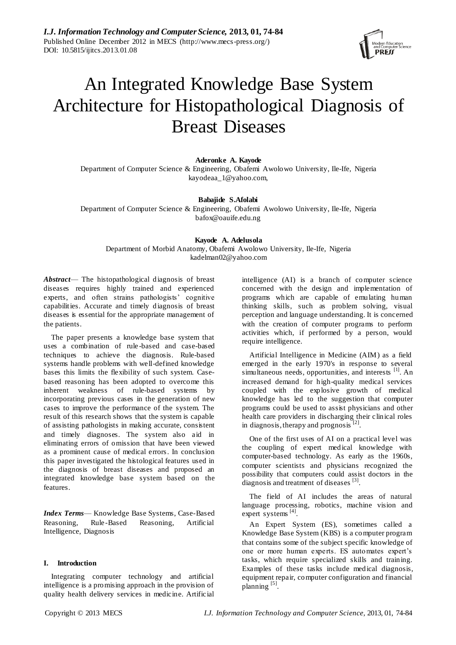

# An Integrated Knowledge Base System Architecture for Histopathological Diagnosis of Breast Diseases

**Aderonke A. Kayode**

Department of Computer Science & Engineering, Obafemi Awolowo University, Ile-Ife, Nigeria [kayodeaa\\_1@yahoo.com,](mailto:kayodeaa_1@yahoo.com)

## **Babajide S.Afolabi**

Department of Computer Science & Engineering, Obafemi Awolowo University, Ile-Ife, Nigeria [bafox@oauife.edu.ng](mailto:bafox@oauife.edu.ng)

## **Kayode A. Adelusola**

Department of Morbid Anatomy, Obafemi Awolowo University, Ile-Ife, Nigeria [kadelman02@yahoo.com](mailto:kadelman02@yahoo.com)

*Abstract*— The histopathological diagnosis of breast diseases requires highly trained and experienced experts, and often strains pathologists' cognitive capabilities. Accurate and timely diagnosis of breast diseases is essential for the appropriate management of the patients.

The paper presents a knowledge base system that uses a combination of rule -based and case-based techniques to achieve the diagnosis. Rule-based systems handle problems with well-defined knowledge bases this limits the flexibility of such system. Casebased reasoning has been adopted to overcome this inherent weakness of rule-based systems by incorporating previous cases in the generation of new cases to improve the performance of the system. The result of this research shows that the system is capable of assisting pathologists in making accurate, consistent and timely diagnoses. The system also aid in eliminating errors of omission that have been viewed as a prominent cause of medical errors. In conclusion this paper investigated the histological features used in the diagnosis of breast diseases and proposed an integrated knowledge base system based on the features.

*Index Terms*— Knowledge Base Systems, Case-Based Reasoning, Rule -Based Reasoning, Artificial Intelligence, Diagnosis

## **I. Introduction**

Integrating computer technology and artificial intelligence is a promising approach in the provision of quality health delivery services in medicine. Artificial intelligence (AI) is a branch of computer science concerned with the design and implementation of programs which are capable of emulating human thinking skills, such as problem solving, visual perception and language understanding. It is concerned with the creation of computer programs to perform activities which, if performed by a person, would require intelligence.

Artificial Intelligence in Medicine (AIM) as a field emerged in the early 1970's in response to several simultaneous needs, opportunities, and interests [1]. An increased demand for high-quality medical services coupled with the explosive growth of medical knowledge has led to the suggestion that computer programs could be used to assist physicians and other health care providers in discharging their clinical roles in diagnosis, therapy and prognosis<sup>[2]</sup>.

One of the first uses of AI on a practical level was the coupling of expert medical knowledge with computer-based technology. As early as the 1960s, computer scientists and physicians recognized the possibility that computers could assist doctors in the diagnosis and treatment of diseases [3].

The field of AI includes the areas of natural language processing, robotics, machine vision and expert systems<sup>[4]</sup>.

An Expert System (ES), sometimes called a Knowledge Base System (KBS) is a computer program that contains some of the subject specific knowledge of one or more human experts. ES automates expert's tasks, which require specialized skills and training. Examples of these tasks include medical diagnosis, equipment repair, computer configuration and financial planning<sup>[5]</sup>.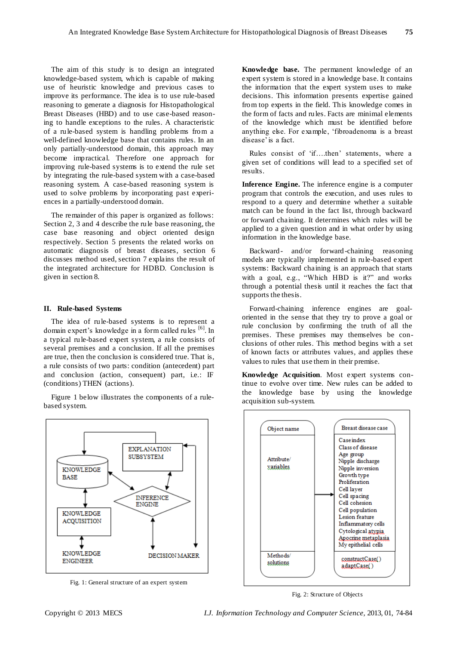The aim of this study is to design an integrated knowledge-based system, which is capable of making use of heuristic knowledge and previous cases to improve its performance. The idea is to use rule-based reasoning to generate a diagnosis for Histopathological Breast Diseases (HBD) and to use case-based reasoning to handle exceptions to the rules. A characteristic of a rule-based system is handling problems from a well-defined knowledge base that contains rules. In an only partially-understood domain, this approach may become impractical. Therefore one approach for improving rule-based systems is to extend the rule set by integrating the rule-based system with a case-based reasoning system. A case-based reasoning system is used to solve problems by incorporating past experiences in a partially-understood domain.

The remainder of this paper is organized as follows: Section 2, 3 and 4 describe the rule base reasoning, the case base reasoning and object oriented design respectively. Section 5 presents the related works on automatic diagnosis of breast diseases, section 6 discusses method used, section 7 explains the result of the integrated architecture for HDBD. Conclusion is given in section 8.

#### **II. Rule-based Systems**

The idea of rule-based systems is to represent a domain expert's knowledge in a form called rules <sup>[6]</sup>. In a typical rule-based expert system, a rule consists of several premises and a conclusion. If all the premises are true, then the conclusion is considered true. That is, a rule consists of two parts: condition (antecedent) part and conclusion (action, consequent) part, i.e.: IF (conditions) THEN (actions).

Figure 1 below illustrates the components of a rulebased system.



Fig. 1: General structure of an expert system

**Knowledge base.** The permanent knowledge of an expert system is stored in a knowledge base. It contains the information that the expert system uses to make decisions. This information presents expertise gained from top experts in the field. This knowledge comes in the form of facts and rules. Facts are minimal elements of the knowledge which must be identified before anything else. For example, 'fibroadenoma is a breast disease' is a fact.

Rules consist of 'if....then' statements, where a given set of conditions will lead to a specified set of results.

**Inference Engine.** The inference engine is a computer program that controls the execution, and uses rules to respond to a query and determine whether a suitable match can be found in the fact list, through backward or forward chaining. It determines which rules will be applied to a given question and in what order by using information in the knowledge base.

Backward- and/or forward -chaining reasoning models are typically implemented in rule-based expert systems: Backward chaining is an approach that starts with a goal, e.g., "Which HBD is it?" and works through a potential thesis until it reaches the fact that supports the thesis.

Forward-chaining inference engines are goaloriented in the sense that they try to prove a goal or rule conclusion by confirming the truth of all the premises. These premises may themselves be conclusions of other rules. This method begins with a set of known facts or attributes values, and applies these values to rules that use them in their premise.

**Knowledge Acquisition**. Most expert systems continue to evolve over time. New rules can be added to the knowledge base by using the knowledge acquisition sub-system.



Fig. 2: Structure of Objects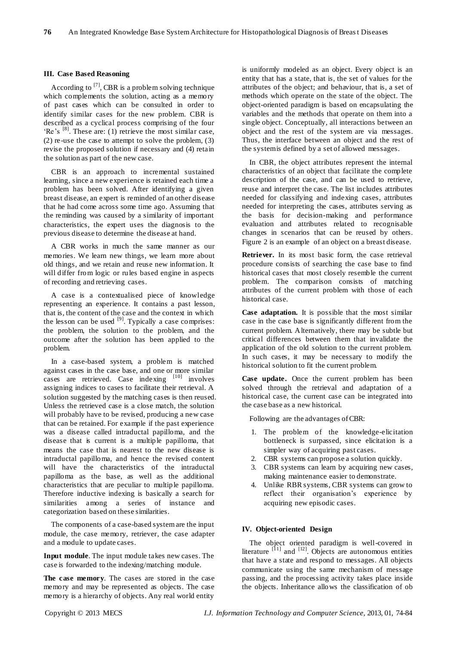## **III. Case Based Reasoning**

According to  $[7]$ , CBR is a problem solving technique which complements the solution, acting as a memory of past cases which can be consulted in order to identify similar cases for the new problem. CBR is described as a cyclical process comprising of the four 'Re's  $[8]$ . These are: (1) retrieve the most similar case, (2) re-use the case to attempt to solve the problem, (3) revise the proposed solution if necessary and (4) retain the solution as part of the new case.

CBR is an approach to incremental sustained learning, since a new experience is retained each time a problem has been solved. After identifying a given breast disease, an expert is reminded of an other disease that he had come across some time ago. Assuming that the reminding was caused by a similarity of important characteristics, the expert uses the diagnosis to the previous disease to determine the disease at hand.

A CBR works in much the same manner as our memories. We learn new things, we learn more about old things, and we retain and reuse new information. It will differ from logic or rules based engine in aspects of recording and retrieving cases.

A case is a contextualised piece of knowledge representing an experience. It contains a past lesson, that is, the content of the case and the context in which the lesson can be used  $[9]$ . Typically a case comprises: the problem, the solution to the problem, and the outcome after the solution has been applied to the problem.

In a case-based system, a problem is matched against cases in the case base, and one or more similar cases are retrieved. Case indexing [10] involves assigning indices to cases to facilitate their retrieval. A solution suggested by the matching cases is then reused. Unless the retrieved case is a close match, the solution will probably have to be revised, producing a new case that can be retained. For example if the past experience was a disease called intraductal papilloma, and the disease that is current is a multiple papilloma, that means the case that is nearest to the new disease is intraductal papilloma, and hence the revised content will have the characteristics of the intraductal papilloma as the base, as well as the additional characteristics that are peculiar to multiple papilloma. Therefore inductive indexing is basically a search for similarities among a series of instance and categorization based on these similarities.

The components of a case-based system are the input module, the case memory, retriever, the case adapter and a module to update cases.

**Input module**. The input module takes new cases. The case is forwarded to the indexing/matching module.

**The case memory**. The cases are stored in the case memory and may be represented as objects. The case memory is a hierarchy of objects. Any real world entity

is uniformly modeled as an object. Every object is an entity that has a state, that is, the set of values for the attributes of the object; and behaviour, that is, a set of methods which operate on the state of the object. The object-oriented paradigm is based on encapsulating the variables and the methods that operate on them into a single object. Conceptually, all interactions between an object and the rest of the system are via messages. Thus, the interface between an object and the rest of the system is defined by a set of allowed messages.

In CBR, the object attributes represent the internal characteristics of an object that facilitate the complete description of the case, and can be used to retrieve, reuse and interpret the case. The list includes attributes needed for classifying and indexing cases, attributes needed for interpreting the cases, attributes serving as the basis for decision-making and performance evaluation and attributes related to recognisable changes in scenarios that can be reused by others. Figure 2 is an example of an object on a breast disease.

**Retriever.** In its most basic form, the case retrieval procedure consists of searching the case base to find historical cases that most closely resemble the current problem. The comparison consists of matching attributes of the current problem with those of each historical case.

**Case adaptation.** It is possible that the most similar case in the case base is significantly different from the current problem. Alternatively, there may be subtle but critical differences between them that invalidate the application of the old solution to the current problem. In such cases, it may be necessary to modify the historical solution to fit the current problem.

**Case update.** Once the current problem has been solved through the retrieval and adaptation of a historical case, the current case can be integrated into the case base as a new historical.

Following are the advantages of CBR:

- 1. The problem of the knowledge-elicitation bottleneck is surpassed, since elicitation is a simpler way of acquiring past cases.
- 2. CBR systems can propose a solution quickly.
- 3. CBR systems can learn by acquiring new cases, making maintenance easier to demonstrate.
- 4. Unlike RBR systems, CBR systems can grow to reflect their organisation's experience by acquiring new episodic cases.

## **IV. Object-oriented Design**

The object oriented paradigm is well-covered in literature  $[11]$  and  $[12]$ . Objects are autonomous entities that have a state and respond to messages. All objects communicate using the same mechanism of message passing, and the processing activity takes place inside the objects. Inheritance allows the classification of ob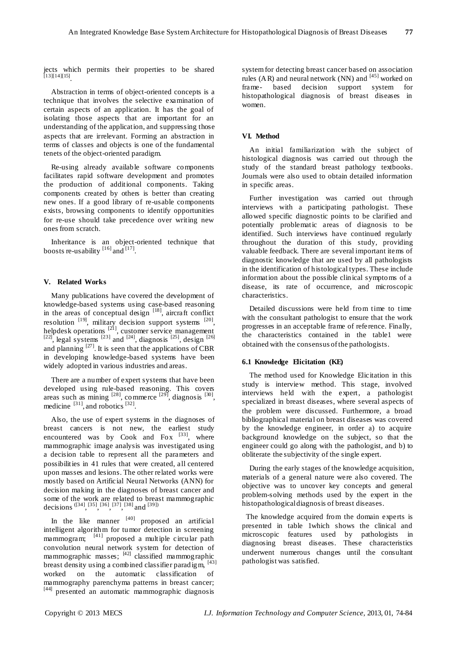jects which permits their properties to be shared [13][14][15] .

Abstraction in terms of object-oriented concepts is a technique that involves the selective examination of certain aspects of an application. It has the goal of isolating those aspects that are important for an understanding of the application, and suppressing those aspects that are irrelevant. Forming an abstraction in terms of classes and objects is one of the fundamental tenets of the object-oriented paradigm.

Re-using already available software components facilitates rapid software development and promotes the production of additional components. Taking components created by others is better than creating new ones. If a good library of re-usable components exists, browsing components to identify opportunities for re-use should take precedence over writing new ones from scratch.

Inheritance is an object-oriented technique that boosts re-usability  $^{[16]}$  and  $^{[17]}$ .

## **V. Related Works**

Many publications have covered the development of knowledge-based systems using case-based reasoning in the areas of conceptual design  $[18]$ , aircraft conflict resolution  $[19]$ , military decision support systems  $[20]$ , helpdesk operations  $[21]$ , customer service management  $^{[22]}$ , legal systems  $^{[23]}$  and  $^{[24]}$ , diagnosis  $^{[25]}$ , design  $^{[26]}$ and planning  $[27]$ . It is seen that the applications of CBR in developing knowledge-based systems have been widely adopted in various industries and areas.

There are a number of expert systems that have been developed using rule-based reasoning. This covers areas such as mining  $[28]$ , commerce  $[29]$ , diagnosis  $[30]$ , medicine  $[31]$ , and robotics  $[32]$ .

Also, the use of expert systems in the diagnoses of breast cancers is not new, the earliest study encountered was by Cook and Fox  $^{[33]}$ , where mammographic image analysis was investigated using a decision table to represent all the parameters and possibilities in 41 rules that were created, all centered upon masses and lesions. The other related works were mostly based on Artificial Neural Networks (ANN) for decision making in the diagnoses of breast cancer and some of the work are related to breast mammographic decisions ([34], [35], [36], [37], [38] and [39])

In the like manner  $[40]$  proposed an artificial intelligent algorithm for tumor detection in screening mammogram; [41] proposed a multiple circular path convolution neural network system for detection of mammographic masses;  $[42]$  classified mammographic breast density using a combined classifier paradigm, [43] worked on the automatic classification of mammography parenchyma patterns in breast cancer; [44] presented an automatic mammographic diagnosis

system for detecting breast cancer based on association rules (AR) and neural network (NN) and  $^{[45]}$  worked on frame- based decision support system for histopathological diagnosis of breast diseases in women.

## **VI. Method**

An initial familiarization with the subject of histological diagnosis was carried out through the study of the standard breast pathology textbooks. Journals were also used to obtain detailed information in specific areas.

Further investigation was carried out through interviews with a participating pathologist. These allowed specific diagnostic points to be clarified and potentially problematic areas of diagnosis to be identified. Such interviews have continued regularly throughout the duration of this study, providing valuable feedback. There are several important items of diagnostic knowledge that are used by all pathologists in the identification of histological types. These include information about the possible clinical symptoms of a disease, its rate of occurrence, and microscopic characteristics.

Detailed discussions were held from time to time with the consultant pathologist to ensure that the work progresses in an acceptable frame of reference. Finally, the characteristics contained in the table1 were obtained with the consensus of the pathologists.

#### **6.1 Knowledge Elicitation (KE)**

The method used for Knowledge Elicitation in this study is interview method. This stage, involved interviews held with the expert, a pathologist specialized in breast diseases, where several aspects of the problem were discussed. Furthermore, a broad bibliographical material on breast diseases was covered by the knowledge engineer, in order a) to acquire background knowledge on the subject, so that the engineer could go along with the pathologist, and b) to obliterate the subjectivity of the single expert.

During the early stages of the knowledge acquisition, materials of a general nature were also covered. The objective was to uncover key concepts and general problem-solving methods used by the expert in the histopathological diagnosis of breast diseases.

The knowledge acquired from the domain experts is presented in table 1which shows the clinical and microscopic features used by pathologists in diagnosing breast diseases. These characteristics underwent numerous changes until the consultant pathologist was satisfied.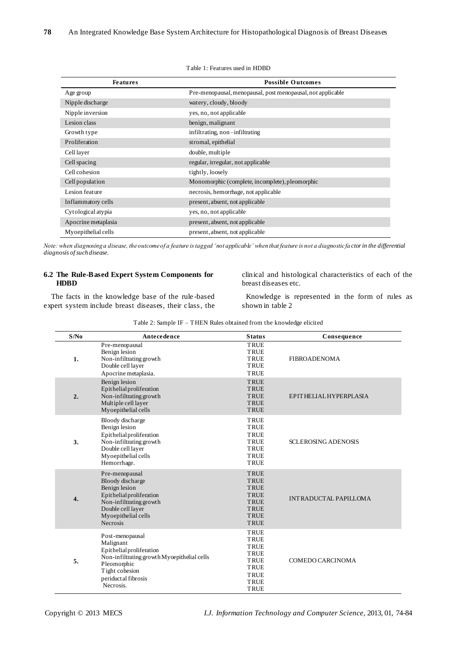| <b>Features</b>     | <b>Possible Outcomes</b>                                    |
|---------------------|-------------------------------------------------------------|
| Age group           | Pre-menopausal, menopausal, post menopausal, not applicable |
| Nipple discharge    | watery, cloudy, bloody                                      |
| Nipple inversion    | yes, no, not applicable                                     |
| Lesion class        | benign, malignant                                           |
| Growth type         | infiltrating, non-infiltrating                              |
| Proliferation       | stromal, epithelial                                         |
| Cell layer          | double, multiple                                            |
| Cell spacing        | regular, irregular, not applicable                          |
| Cell cohesion       | tightly, loosely                                            |
| Cell population     | Monomorphic (complete, incomplete), pleomorphic             |
| Lesion feature      | necrosis, hemorrhage, not applicable                        |
| Inflammatory cells  | present, absent, not applicable                             |
| Cytological atypia  | yes, no, not applicable                                     |
| Apocrine metaplasia | present, absent, not applicable                             |
| Myoepithelial cells | present, absent, not applicable                             |

Table 1: Features used in HDBD

*Note: when diagnosing a disease, the outcome of a feature is tagged 'not applicable' when that feature is not a diagnostic fa ctor in the differential diagnosis of such disease.*

# **6.2 The Rule-Based Expert System Components for HDBD**

clinical and histological characteristics of each of the breast diseases etc.

The facts in the knowledge base of the rule -based expert system include breast diseases, their class, the

Knowledge is represented in the form of rules as shown in table 2

Table 2: Sample IF – THEN Rules obtained from the knowledge elicited

| S/N <sub>0</sub> | Antecedence                                                                                                                                                                  | <b>Status</b>                                                                                                                       | Consequence                |
|------------------|------------------------------------------------------------------------------------------------------------------------------------------------------------------------------|-------------------------------------------------------------------------------------------------------------------------------------|----------------------------|
| 1.               | Pre-menopausal<br>Benign lesion<br>Non-infiltrating growth<br>Double cell layer<br>Apocrine metaplasia.                                                                      | <b>TRUE</b><br><b>TRUE</b><br><b>TRUE</b><br><b>TRUE</b><br><b>TRUE</b>                                                             | <b>FIBROADENOMA</b>        |
| 2.               | Benign lesion<br>Epithelialproliferation<br>Non-infiltrating growth<br>Multiple cell layer<br>Myoepithelial cells                                                            | TRUE<br><b>TRUE</b><br><b>TRUE</b><br>TRUE<br>TRUE                                                                                  | EPITHELIAL HYPERPLASIA     |
| 3.               | Bloody discharge<br>Benign lesion<br>Epithelial proliferation<br>Non-infiltrating growth<br>Double cell layer<br>Myoepithelial cells<br>Hemorrhage.                          | <b>TRUE</b><br><b>TRUE</b><br><b>TRUE</b><br><b>TRUE</b><br><b>TRUE</b><br><b>TRUE</b><br><b>TRUE</b>                               | <b>SCLEROSING ADENOSIS</b> |
| $\overline{4}$ . | Pre-menopausal<br>Bloody discharge<br>Benign lesion<br>Epithelialproliferation<br>Non-infiltrating growth<br>Double cell layer<br>Myoepithelial cells<br><b>Necrosis</b>     | <b>TRUE</b><br><b>TRUE</b><br><b>TRUE</b><br><b>TRUE</b><br><b>TRUE</b><br><b>TRUE</b><br><b>TRUE</b><br>TRUE                       | INTRADUCTAL PAPILLOMA      |
| 5.               | Post-menopausal<br>Malignant<br>Epithelial proliferation<br>Non-infiltrating growth Myoepithelial cells<br>Pleomorphic<br>Tight cohesion<br>periductal fibrosis<br>Necrosis. | <b>TRUE</b><br><b>TRUE</b><br><b>TRUE</b><br><b>TRUE</b><br><b>TRUE</b><br><b>TRUE</b><br><b>TRUE</b><br><b>TRUE</b><br><b>TRUE</b> | <b>COMEDO CARCINOMA</b>    |

l.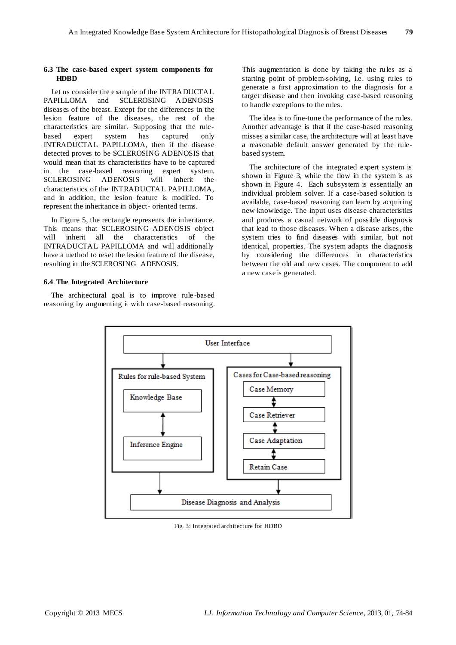## **6.3 The case-based expert system components for HDBD**

Let us consider the example of the INTRADUCTAL PAPILLOMA and SCLEROSING ADENOSIS diseases of the breast. Except for the differences in the lesion feature of the diseases, the rest of the characteristics are similar. Supposing that the rulebased expert system has captured only INTRADUCTAL PAPILLOMA, then if the disease detected proves to be SCLEROSING ADENOSIS that would mean that its characteristics have to be captured in the case-based reasoning expert system. SCLEROSING ADENOSIS will inherit the characteristics of the INTRADUCTAL PAPILLOMA, and in addition, the lesion feature is modified. To represent the inheritance in object- oriented terms.

In Figure 5, the rectangle represents the inheritance. This means that SCLEROSING ADENOSIS object will inherit all the characteristics of the INTRADUCTAL PAPILLOMA and will additionally have a method to reset the lesion feature of the disease, resulting in the SCLEROSING ADENOSIS.

# **6.4 The Integrated Architecture**

The architectural goal is to improve rule -based reasoning by augmenting it with case-based reasoning.

This augmentation is done by taking the rules as a starting point of problem-solving, i.e. using rules to generate a first approximation to the diagnosis for a target disease and then invoking case-based reasoning to handle exceptions to the rules.

The idea is to fine-tune the performance of the rules. Another advantage is that if the case-based reasoning misses a similar case, the architecture will at least have a reasonable default answer generated by the rulebased system.

The architecture of the integrated expert system is shown in Figure 3, while the flow in the system is as shown in Figure 4. Each subsystem is essentially an individual problem solver. If a case-based solution is available, case-based reasoning can learn by acquiring new knowledge. The input uses disease characteristics and produces a casual network of possible diagnosis that lead to those diseases. When a disease arises, the system tries to find diseases with similar, but not identical, properties. The system adapts the diagnosis by considering the differences in characteristics between the old and new cases. The component to add a new case is generated.



Fig. 3: Integrated architecture for HDBD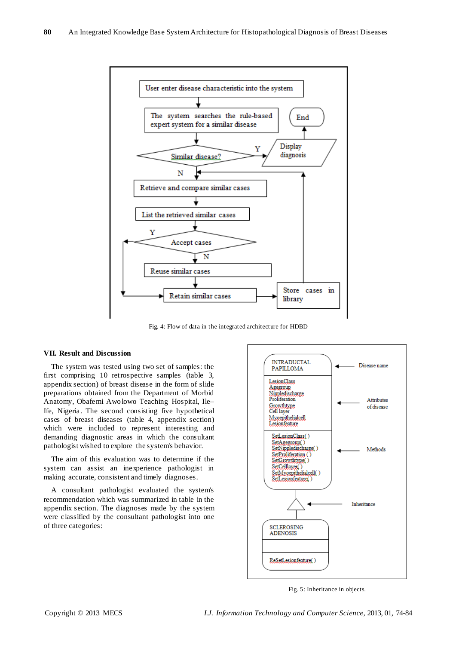

Fig. 4: Flow of data in the integrated architecture for HDBD

## **VII. Result and Discussion**

The system was tested using two set of samples: the first comprising 10 retrospective samples (table 3, appendix section) of breast disease in the form of slide preparations obtained from the Department of Morbid Anatomy, Obafemi Awolowo Teaching Hospital, Ile– Ife, Nigeria. The second consisting five hypothetical cases of breast diseases (table 4, appendix section) which were included to represent interesting and demanding diagnostic areas in which the consultant pathologist wished to explore the system's behavior.

The aim of this evaluation was to determine if the system can assist an inexperience pathologist in making accurate, consistent and timely diagnoses.

A consultant pathologist evaluated the system's recommendation which was summarized in table in the appendix section. The diagnoses made by the system were classified by the consultant pathologist into one of three categories:



Fig. 5: Inheritance in objects*.*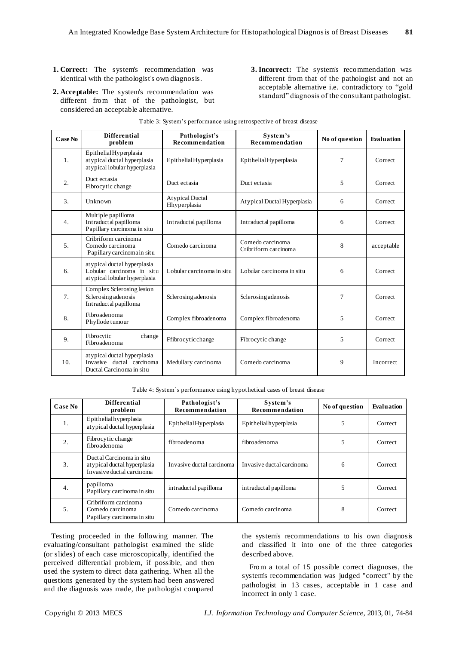- **1. Correct:** The system's recommendation was identical with the pathologist's own diagnosis.
- **2. Acceptable:** The system's recommendation was different from that of the pathologist, but considered an acceptable alternative.
- **3. Incorrect:** The system's recommendation was different from that of the pathologist and not an acceptable alternative i.e. contradictory to "gold standard" diagnosis of the consultant pathologist.

| Case No | <b>Differential</b><br>problem                                                             | Pathologist's<br>Recommendation        | System's<br>Recommendation               | No of question | Evaluation |
|---------|--------------------------------------------------------------------------------------------|----------------------------------------|------------------------------------------|----------------|------------|
| 1.      | Epithelial Hyperplasia<br>at ypical ductal hyperplasia<br>atypical lobular hyperplasia     | Epithelial Hyperplasia                 | Epithelial Hyperplasia                   | 7              | Correct    |
| 2.      | Duct ectasia<br>Fibrocytic change                                                          | Duct ectasia                           | Duct ectasia                             | 5              | Correct    |
| 3.      | Unknown                                                                                    | <b>Atypical Ductal</b><br>Hhyperplasia | Atypical Ductal Hyperplasia              | 6              | Correct    |
| 4.      | Multiple papilloma<br>Intraductal papilloma<br>Papillary carcinoma in situ                 | Intraductal papilloma                  | Intraductal papilloma                    | 6              | Correct    |
| 5.      | Cribriform carcinoma<br>Comedo carcinoma<br>Papillary carcinomain situ                     | Comedo carcinoma                       | Comedo carcinoma<br>Cribriform carcinoma | 8              | acceptable |
| 6.      | at ypical duct al hyperplasia<br>Lobular carcinoma in situ<br>atypical lobular hyperplasia | Lobular carcinoma in situ              | Lobular carcinoma in situ                | 6              | Correct    |
| 7.      | Complex Sclerosing lesion<br>Sclerosing adenosis<br>Intraductal papilloma                  | Sclerosing adenosis                    | Sclerosing adenosis                      | 7              | Correct    |
| 8.      | Fibroadenoma<br>Phyllode tumour                                                            | Complex fibroadenoma                   | Complex fibroadenoma                     | 5              | Correct    |
| 9.      | Fibrocytic<br>change<br>Fibroadenoma                                                       | Ffibrocytic change                     | Fibrocytic change                        | 5              | Correct    |
| 10.     | at ypical duct al hyperplasia<br>Invasive ductal carcinoma<br>Ductal Carcinoma in situ     | Medullary carcinoma                    | Comedo carcinoma                         | 9              | Incorrect  |

|  |  |  | Table 3: System's performance using retrospective of breast disease |  |  |
|--|--|--|---------------------------------------------------------------------|--|--|
|  |  |  |                                                                     |  |  |

Table 4: System's performance using hypothetical cases of breast disease

| Case No | <b>Differential</b><br>problem                                                       | Pathologist's<br>Recommendation | System's<br>Recommendation | No of question | Evaluation |
|---------|--------------------------------------------------------------------------------------|---------------------------------|----------------------------|----------------|------------|
| 1.      | Epithelialhyperplasia<br>atypical ductal hyperplasia                                 | Epithelial Hyperplasia          | Epithelialhyperplasia      | C              | Correct    |
| 2.      | Fibrocytic change<br>fibroadenoma                                                    | fibroadenoma                    | fibroadenoma               | 5              | Correct    |
| 3.      | Ductal Carcinoma in situ<br>atypical ductal hyperplasia<br>Invasive ductal carcinoma | Invasive ductal carcinoma       | Invasive ductal carcinoma  | 6              | Correct    |
| 4.      | papilloma<br>Papillary carcinoma in situ                                             | intraductal papilloma           | intraductal papilloma      | 5              | Correct    |
| 5.      | Cribriform carcinoma<br>Comedo carcinoma<br>Papillary carcinoma in situ              | Comedo carcinoma                | Comedo carcinoma           | 8              | Correct    |

Testing proceeded in the following manner. The evaluating/consultant pathologist examined the slide (or slides) of each case microscopically, identified the perceived differential problem, if possible, and then used the system to direct data gathering. When all the questions generated by the system had been answered and the diagnosis was made, the pathologist compared the system's recommendations to his own diagnosis and classified it into one of the three categories described above.

From a total of 15 possible correct diagnoses, the system's recommendation was judged "correct" by the pathologist in 13 cases, acceptable in 1 case and incorrect in only 1 case.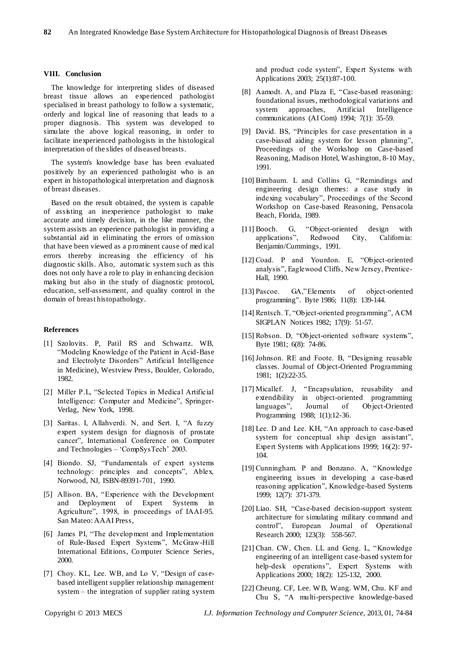## **VIII. Conclusion**

The knowledge for interpreting slides of diseased breast tissue allows an experienced pathologist specialised in breast pathology to follow a systematic, orderly and logical line of reasoning that leads to a proper diagnosis. This system was developed to simulate the above logical reasoning, in order to facilitate inexperienced pathologists in the histological interpretation of the slides of diseased breasts.

The system's knowledge base has been evaluated positively by an experienced pathologist who is an expert in histopathological interpretation and diagnosis of breast diseases.

Based on the result obtained, the system is capable of assisting an inexperience pathologist to make accurate and timely decision, in the like manner, the system assists an experience pathologist in providing a substantial aid in eliminating the errors of omission that have been viewed as a prominent cause of med ical errors thereby increasing the efficiency of his diagnostic skills. Also, automatic system such as this does not only have a role to play in enhancing decision making but also in the study of diagnostic protocol, education, self-assessment, and quality control in the domain of breast histopathology.

#### **References**

- [1] Szolovits. P, Patil RS and Schwartz. WB, ―Modeling Knowledge of the Patient in Acid-Base and Electrolyte Disorders" Artificial Intelligence in Medicine), Westview Press, Boulder, Colorado, 1982.
- [2] Miller P.L, "Selected Topics in Medical Artificial Intelligence: Computer and Medicine", Springer-Verlag, New York, 1998.
- [3] Saritas. I, Allahverdi. N, and Sert. I, "A fuzzy expert system design for diagnosis of prostate cancer", International Conference on Computer and Technologies – 'CompSysTech' 2003.
- [4] Biondo. SJ, "Fundamentals of expert systems technology: principles and concepts", Ablex, Norwood, NJ, ISBN-89391-701, 1990.
- [5] Allison. BA, "Experience with the Development and Deployment of Expert Systems in Agriculture", 1998, in proceedings of IAAI-95. San Mateo: AAAI Press,
- [6] James PI, "The development and Implementation of Rule-Based Expert Systems", McGraw-Hill International Editions, Computer Science Series, 2000.
- [7] Choy. KL, Lee. WB, and Lo V, "Design of casebased intelligent supplier relationship management system – the integration of supplier rating system

and product code system", Expert Systems with Applications 2003; 25(1):87-100.

- [8] Aamodt. A, and Plaza E, "Case-based reasoning: foundational issues, methodological variations and system approaches, Artificial Intelligence communications (AI Com) 1994; 7(1): 35-59.
- [9] David. BS, "Principles for case presentation in a case-biased aiding system for lesson planning", Proceedings of the Workshop on Case-based Reasoning, Madison Hotel, Washington, 8-10 May, 1991.
- [10] Birnbaum. L and Collins G, "Remindings and engineering design themes: a case study in indexing vocabulary", Proceedings of the Second Workshop on Case-based Reasoning, Pensacola Beach, Florida, 1989.
- [11] Booch. G, "Object-oriented design with applications‖, Redwood City, California: Benjamin/Cummings, 1991.
- [12] Coad. P and Yourdon. E, "Object-oriented analysis", Eaglewood Cliffs, New Jersey, Prentice-Hall, 1990.
- [13] Pascoe. GA,"Elements of object-oriented programming". Byte 1986; 11(8): 139-144.
- [14] Rentsch. T, "Object-oriented programming", ACM SIGPLAN Notices 1982; 17(9): 51-57.
- [15] Robson. D, "Object-oriented software systems", Byte 1981; 6(8): 74-86.
- [16] Johnson. RE and Foote. B, "Designing reusable classes. Journal of Object-Oriented Programming 1981; 1(2):22-35.
- [17] Micallef. J, "Encapsulation, reusability and extendibility in object-oriented programming languages", Journal of Object-Oriented Programming 1988; 1(1):12-36.
- [18] Lee. D and Lee. KH, "An approach to case-based system for conceptual ship design assistant", Expert Systems with Applications 1999; 16(2): 97- 104.
- [19] Cunningham. P and Bonzano. A, "Knowledge engineering issues in developing a case-based reasoning application", Knowledge-based Systems 1999; 12(7): 371-379.
- [20] Liao. SH, "Case-based decision-support system: architecture for simulating military command and control", European Journal of Operational Research 2000; 123(3): 558-567.
- [21] Chan. CW, Chen. LL and Geng. L, "Knowledge engineering of an intelligent case-based system for help-desk operations", Expert Systems with Applications 2000; 18(2): 125-132, 2000.
- [22] Cheung. CF, Lee. W B, Wang. WM, Chu. KF and Chu S, "A multi-perspective knowledge-based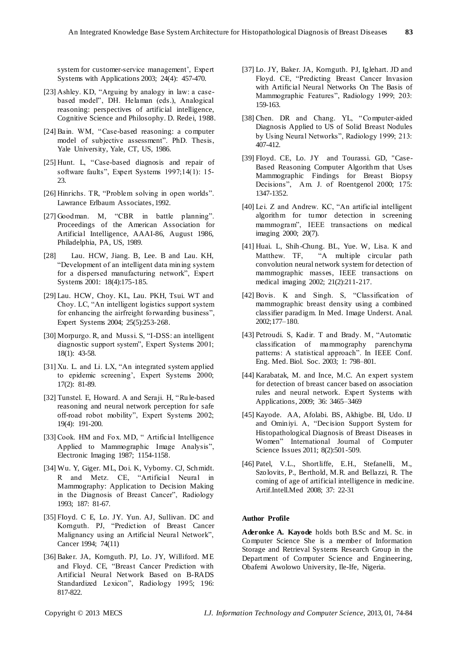system for customer-service management', Expert Systems with Applications 2003; 24(4): 457-470.

- [23] Ashley. KD, "Arguing by analogy in law: a casebased model", DH. Helaman (eds.), Analogical reasoning: perspectives of artificial intelligence, Cognitive Science and Philosophy. D. Redei, 1988.
- [24] Bain. WM, "Case-based reasoning: a computer model of subjective assessment". PhD. Thesis, Yale University, Yale, CT, US, 1986.
- [25] Hunt. L, "Case-based diagnosis and repair of software faults", Expert Systems 1997;14(1): 15-23.
- [26] Hinrichs. TR, "Problem solving in open worlds". Lawrance Erlbaum Associates, 1992.
- [27] Goodman. M, "CBR in battle planning". Proceedings of the American Association for Artificial Intelligence, AAAI-86, August 1986, Philadelphia, PA, US, 1989.
- [28] Lau. HCW, Jiang. B, Lee. B and Lau. KH, ―Development of an intelligent data mining system for a dispersed manufacturing network", Expert Systems 2001: 18(4):175-185.
- [29] Lau. HCW, Choy. KL, Lau. PKH, Tsui. WT and Choy. LC, "An intelligent logistics support system for enhancing the airfreight forwarding business", Expert Systems 2004; 25(5):253-268.
- [30] Morpurgo. R, and Mussi. S, "I-DSS: an intelligent diagnostic support system", Expert Systems 2001; 18(1): 43-58.
- [31] Xu. L. and Li. LX, "An integrated system applied to epidemic screening', Expert Systems 2000; 17(2): 81-89.
- [32] Tunstel. E, Howard. A and Seraji. H, "Ru le-based reasoning and neural network perception for safe off-road robot mobility", Expert Systems 2002; 19(4): 191-200.
- [33] Cook. HM and Fox. MD, " Artificial Intelligence Applied to Mammographic Image Analysis", Electronic Imaging 1987; 1154-1158.
- [34] Wu. Y, Giger. ML, Doi. K, Vyborny. CJ, Schmidt. R and Metz. CE, "Artificial Neural in Mammography: Application to Decision Making in the Diagnosis of Breast Cancer", Radiology 1993; 187: 81-67.
- [35] FIoyd. C E, Lo. JY. Yun. AJ, Sullivan. DC and Kornguth. PJ, "Prediction of Breast Cancer Malignancy using an Artificial Neural Network", Cancer 1994; 74(11)
- [36] Baker. JA, Kornguth. PJ, Lo. JY, Williford. ME and Floyd. CE, "Breast Cancer Prediction with Artificial Neural Network Based on B-RADS Standardized Lexicon", Radiology 1995; 196: 817-822.
- [37] Lo. JY, Baker. JA, Kornguth. PJ, Iglehart. JD and Floyd. CE, "Predicting Breast Cancer Invasion with Artificial Neural Networks On The Basis of Mammographic Features", Radiology 1999; 203: 159-163.
- [38] Chen. DR and Chang. YL, "Computer-aided" Diagnosis Applied to US of Solid Breast Nodules by Using Neural Networks", Radiology 1999; 213: 407-412.
- [39] FIoyd. CE, Lo. JY and Tourassi. GD, "Case-Based Reasoning Computer Algorithm that Uses Mammographic Findings for Breast Biopsy Decisions", Am. J. of Roentgenol 2000; 175: 1347-1352.
- [40] Lei. Z and Andrew. KC, "An artificial intelligent algorithm for tumor detection in screening mammogram", IEEE transactions on medical imaging 2000; 20(7).
- [41] Huai. L, Shih -Chung. BL, Yue. W, Lisa. K and Matthew. TF, "A multiple circular path convolution neural network system for detection of mammographic masses, IEEE transactions on medical imaging 2002; 21(2):211-217.
- [42] Bovis. K and Singh. S, "Classification of mammographic breast density using a combined classifier paradigm. In Med. Image Underst. Anal. 2002;177–180.
- [43] Petroudi. S, Kadir. T and Brady. M, "Automatic classification of mammography parenchyma patterns: A statistical approach". In IEEE Conf. Eng. Med. Biol. Soc. 2003; 1: 798–801.
- [44] Karabatak, M. and Ince, M.C. An expert system for detection of breast cancer based on association rules and neural network. Expert Systems with Applications, 2009; 36: 3465–3469
- [45] Kayode. AA, Afolabi. BS, Akhigbe. BI, Udo. IJ and Ominiyi. A, "Decision Support System for Histopathological Diagnosis of Breast Diseases in Women" International Journal of Computer Science Issues 2011; 8(2):501-509.
- [46] Patel, V.L., Shortliffe, E.H., Stefanelli, M., Szolovits, P., Berthold, M.R. and Bellazzi, R. The coming of age of artificial intelligence in medicine. Artif.Intell.Med 2008; 37: 22-31

#### **Author Profile**

**Aderonke A. Kayode** holds both B.Sc and M. Sc. in Computer Science She is a member of Information Storage and Retrieval Systems Research Group in the Department of Computer Science and Engineering, Obafemi Awolowo University, Ile-Ife, Nigeria.